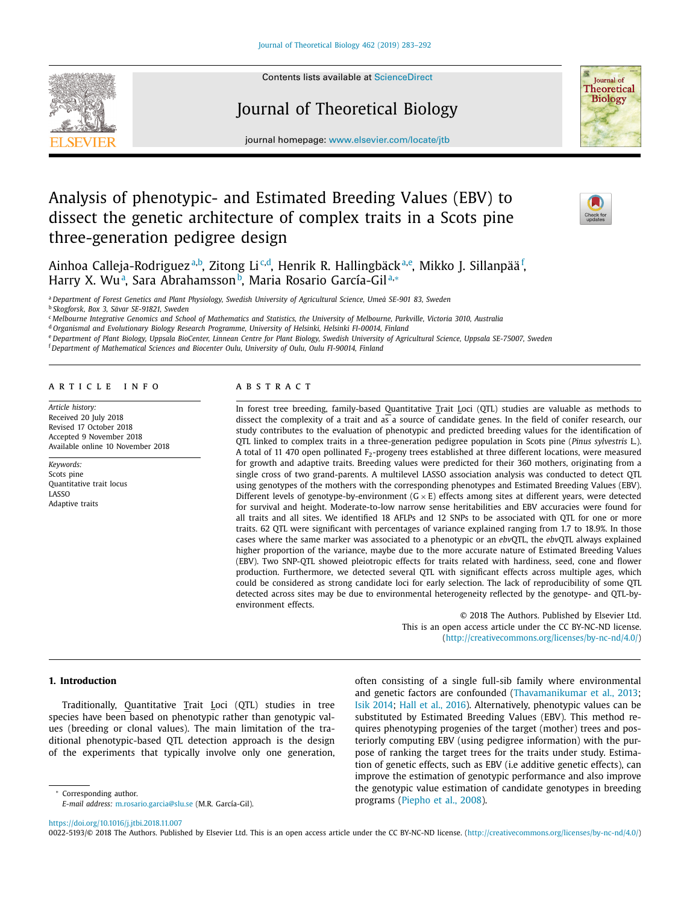Contents lists available at [ScienceDirect](http://www.ScienceDirect.com)

# Journal of Theoretical Biology



journal homepage: [www.elsevier.com/locate/jtb](http://www.elsevier.com/locate/jtb)

# Analysis of phenotypic- and Estimated Breeding Values (EBV) to dissect the genetic architecture of complex traits in a Scots pine three-generation pedigree design



Ainhoa Calleja-Rodriguez<sup>a,b</sup>, Zitong Li<sup>c,d</sup>, Henrik R. Hallingbäck<sup>a,e</sup>, Mikko J. Sillanpää<sup> f</sup>, Harry X. Wuª, Sara Abrahamssonʰ, Maria Rosario García-Gilª∗

a Department of Forest Genetics and Plant Physiology, Swedish University of Agricultural Science, Umeå SE-901 83, Sweden

<sup>b</sup> *Skogforsk, Box 3, Sävar SE-91821, Sweden*

<sup>c</sup> Melbourne Integrative Genomics and School of Mathematics and Statistics, the University of Melbourne, Parkville, Victoria 3010, Australia

<sup>d</sup> *Organismal and Evolutionary Biology Research Programme, University of Helsinki, Helsinki FI-00014, Finland*

e Department of Plant Biology, Uppsala BioCenter, Linnean Centre for Plant Biology, Swedish University of Agricultural Science, Uppsala SE-75007, Sweden

<sup>f</sup> *Department of Mathematical Sciences and Biocenter Oulu, University of Oulu, Oulu FI-90014, Finland*

#### ARTICLE INFO

*Article history:* Received 20 July 2018 Revised 17 October 2018 Accepted 9 November 2018 Available online 10 November 2018

*Keywords:* Scots pine Quantitative trait locus LASSO Adaptive traits

## A B S T R A C T

In forest tree breeding, family-based Quantitative Trait Loci (QTL) studies are valuable as methods to dissect the complexity of a trait and as a source of candidate genes. In the field of conifer research, our study contributes to the evaluation of phenotypic and predicted breeding values for the identification of QTL linked to complex traits in a three-generation pedigree population in Scots pine (*Pinus sylvestris* L.). A total of 11 470 open pollinated  $F_2$ -progeny trees established at three different locations, were measured for growth and adaptive traits. Breeding values were predicted for their 360 mothers, originating from a single cross of two grand-parents. A multilevel LASSO association analysis was conducted to detect QTL using genotypes of the mothers with the corresponding phenotypes and Estimated Breeding Values (EBV). Different levels of genotype-by-environment  $(G \times E)$  effects among sites at different years, were detected for survival and height. Moderate-to-low narrow sense heritabilities and EBV accuracies were found for all traits and all sites. We identified 18 AFLPs and 12 SNPs to be associated with QTL for one or more traits. 62 QTL were significant with percentages of variance explained ranging from 1.7 to 18.9%. In those cases where the same marker was associated to a phenotypic or an *ebv*QTL, the *ebv*QTL always explained higher proportion of the variance, maybe due to the more accurate nature of Estimated Breeding Values (EBV). Two SNP-QTL showed pleiotropic effects for traits related with hardiness, seed, cone and flower production. Furthermore, we detected several QTL with significant effects across multiple ages, which could be considered as strong candidate loci for early selection. The lack of reproducibility of some QTL detected across sites may be due to environmental heterogeneity reflected by the genotype- and QTL-byenvironment effects.

> © 2018 The Authors. Published by Elsevier Ltd. This is an open access article under the CC BY-NC-ND license. [\(http://creativecommons.org/licenses/by-nc-nd/4.0/\)](http://creativecommons.org/licenses/by-nc-nd/4.0/)

# **1. Introduction**

Traditionally, Quantitative Trait Loci (QTL) studies in tree species have been based on phenotypic rather than genotypic values (breeding or clonal values). The main limitation of the traditional phenotypic-based QTL detection approach is the design of the experiments that typically involve only one generation, often consisting of a single full-sib family where environmental and genetic factors are confounded [\(Thavamanikumar](#page-9-0) et al., 2013; Isik [2014;](#page-8-0) Hall et al., [2016\)](#page-8-0). Alternatively, phenotypic values can be substituted by Estimated Breeding Values (EBV). This method requires phenotyping progenies of the target (mother) trees and posteriorly computing EBV (using pedigree information) with the purpose of ranking the target trees for the traits under study. Estimation of genetic effects, such as EBV (i.e additive genetic effects), can improve the estimation of genotypic performance and also improve the genotypic value estimation of candidate genotypes in breeding programs [\(Piepho](#page-9-0) et al., 2008).

Corresponding author.

<https://doi.org/10.1016/j.jtbi.2018.11.007>

0022-5193/© 2018 The Authors. Published by Elsevier Ltd. This is an open access article under the CC BY-NC-ND license. [\(http://creativecommons.org/licenses/by-nc-nd/4.0/\)](http://creativecommons.org/licenses/by-nc-nd/4.0/)

*E-mail address:* [m.rosario.garcia@slu.se](mailto:m.rosario.garcia@slu.se) (M.R. García-Gil).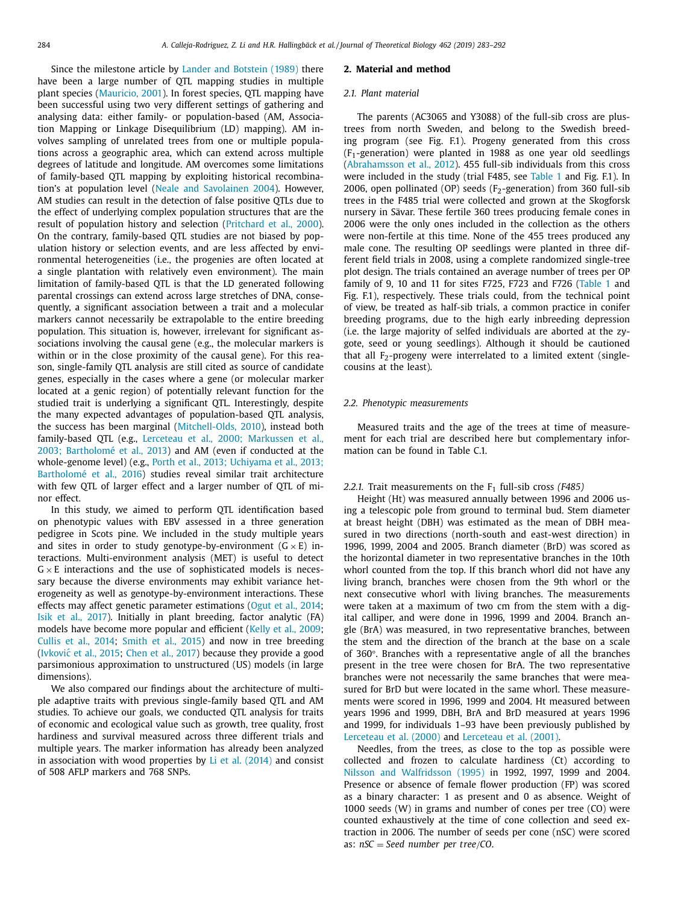Since the milestone article by Lander and [Botstein](#page-8-0) (1989) there have been a large number of QTL mapping studies in multiple plant species [\(Mauricio,](#page-9-0) 2001). In forest species, QTL mapping have been successful using two very different settings of gathering and analysing data: either family- or population-based (AM, Association Mapping or Linkage Disequilibrium (LD) mapping). AM involves sampling of unrelated trees from one or multiple populations across a geographic area, which can extend across multiple degrees of latitude and longitude. AM overcomes some limitations of family-based QTL mapping by exploiting historical recombination's at population level (Neale and [Savolainen](#page-9-0) 2004). However, AM studies can result in the detection of false positive QTLs due to the effect of underlying complex population structures that are the result of population history and selection [\(Pritchard](#page-9-0) et al., 2000). On the contrary, family-based QTL studies are not biased by population history or selection events, and are less affected by environmental heterogeneities (i.e., the progenies are often located at a single plantation with relatively even environment). The main limitation of family-based QTL is that the LD generated following parental crossings can extend across large stretches of DNA, consequently, a significant association between a trait and a molecular markers cannot necessarily be extrapolable to the entire breeding population. This situation is, however, irrelevant for significant associations involving the causal gene (e.g., the molecular markers is within or in the close proximity of the causal gene). For this reason, single-family QTL analysis are still cited as source of candidate genes, especially in the cases where a gene (or molecular marker located at a genic region) of potentially relevant function for the studied trait is underlying a significant QTL. Interestingly, despite the many expected advantages of population-based QTL analysis, the success has been marginal [\(Mitchell-Olds,](#page-9-0) 2010), instead both family-based QTL (e.g., Lerceteau et al., 2000; Markussen et al., 2003; [Bartholomé et](#page-8-0) al., 2013) and AM (even if conducted at the [whole-genome](#page-9-0) level) (e.g., Porth et al., 2013; Uchiyama et al., 2013; Bartholomé et al., 2016) studies reveal similar trait architecture with few QTL of larger effect and a larger number of QTL of minor effect.

In this study, we aimed to perform QTL identification based on phenotypic values with EBV assessed in a three generation pedigree in Scots pine. We included in the study multiple years and sites in order to study genotype-by-environment  $(G \times E)$  interactions. Multi-environment analysis (MET) is useful to detect  $G \times E$  interactions and the use of sophisticated models is necessary because the diverse environments may exhibit variance heterogeneity as well as genotype-by-environment interactions. These effects may affect genetic parameter estimations [\(Ogut](#page-9-0) et al., 2014; Isik et al., [2017\)](#page-8-0). Initially in plant breeding, factor analytic (FA) models have become more popular and efficient (Kelly et al., [2009;](#page-8-0) [Cullis](#page-8-0) et al., 2014; [Smith](#page-9-0) et al., 2015) and now in tree breeding (Ivković et al., 2015; [Chen](#page-8-0) et al., 2017) because they provide a good parsimonious approximation to unstructured (US) models (in large dimensions).

We also compared our findings about the architecture of multiple adaptive traits with previous single-family based QTL and AM studies. To achieve our goals, we conducted QTL analysis for traits of economic and ecological value such as growth, tree quality, frost hardiness and survival measured across three different trials and multiple years. The marker information has already been analyzed in association with wood properties by  $Li$  et al. [\(2014\)](#page-8-0) and consist of 508 AFLP markers and 768 SNPs.

#### **2. Material and method**

#### *2.1. Plant material*

The parents (AC3065 and Y3088) of the full-sib cross are plustrees from north Sweden, and belong to the Swedish breeding program (see Fig. F.1). Progeny generated from this cross  $(F<sub>1</sub>-generation)$  were planted in 1988 as one year old seedlings [\(Abrahamsson](#page-8-0) et al., 2012). 455 full-sib individuals from this cross were included in the study (trial F485, see [Table](#page-2-0) 1 and Fig. F.1). In 2006, open pollinated (OP) seeds ( $F_2$ -generation) from 360 full-sib trees in the F485 trial were collected and grown at the Skogforsk nursery in Sävar. These fertile 360 trees producing female cones in 2006 were the only ones included in the collection as the others were non-fertile at this time. None of the 455 trees produced any male cone. The resulting OP seedlings were planted in three different field trials in 2008, using a complete randomized single-tree plot design. The trials contained an average number of trees per OP family of 9, 10 and 11 for sites F725, F723 and F726 [\(Table](#page-2-0) 1 and Fig. F.1), respectively. These trials could, from the technical point of view, be treated as half-sib trials, a common practice in conifer breeding programs, due to the high early inbreeding depression (i.e. the large majority of selfed individuals are aborted at the zygote, seed or young seedlings). Although it should be cautioned that all  $F<sub>2</sub>$ -progeny were interrelated to a limited extent (singlecousins at the least).

## *2.2. Phenotypic measurements*

Measured traits and the age of the trees at time of measurement for each trial are described here but complementary information can be found in Table C.1.

# 2.2.1. Trait measurements on the F<sub>1</sub> full-sib cross (F485)

Height (Ht) was measured annually between 1996 and 2006 using a telescopic pole from ground to terminal bud. Stem diameter at breast height (DBH) was estimated as the mean of DBH measured in two directions (north-south and east-west direction) in 1996, 1999, 2004 and 2005. Branch diameter (BrD) was scored as the horizontal diameter in two representative branches in the 10th whorl counted from the top. If this branch whorl did not have any living branch, branches were chosen from the 9th whorl or the next consecutive whorl with living branches. The measurements were taken at a maximum of two cm from the stem with a digital calliper, and were done in 1996, 1999 and 2004. Branch angle (BrA) was measured, in two representative branches, between the stem and the direction of the branch at the base on a scale of 360°. Branches with a representative angle of all the branches present in the tree were chosen for BrA. The two representative branches were not necessarily the same branches that were measured for BrD but were located in the same whorl. These measurements were scored in 1996, 1999 and 2004. Ht measured between years 1996 and 1999, DBH, BrA and BrD measured at years 1996 and 1999, for individuals 1–93 have been previously published by [Lerceteau](#page-8-0) et al. (2000) and [Lerceteau](#page-8-0) et al. (2001).

Needles, from the trees, as close to the top as possible were collected and frozen to calculate hardiness (Ct) according to Nilsson and [Walfridsson](#page-9-0) (1995) in 1992, 1997, 1999 and 2004. Presence or absence of female flower production (FP) was scored as a binary character: 1 as present and 0 as absence. Weight of 1000 seeds (W) in grams and number of cones per tree (CO) were counted exhaustively at the time of cone collection and seed extraction in 2006. The number of seeds per cone (nSC) were scored as: *nSC* = *Seed number per tree*/*CO*.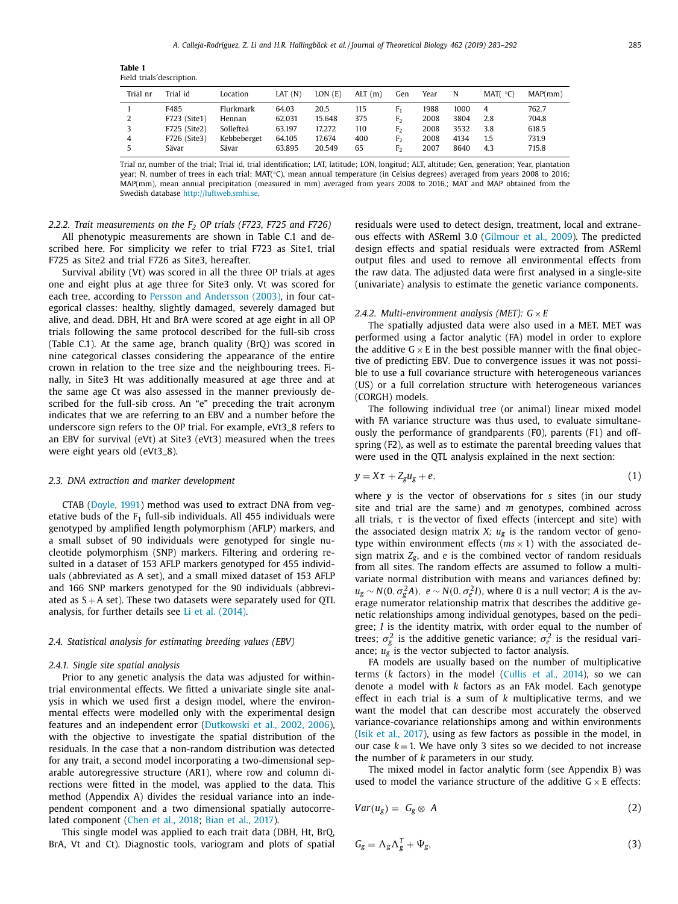<span id="page-2-0"></span>**Table 1** Field trials´description.

| Trial nr | Trial id     | Location    | LAT(N) | LON(E) | ALT(m) | Gen            | Year | N    | MAT(°C) | MAP(mm) |
|----------|--------------|-------------|--------|--------|--------|----------------|------|------|---------|---------|
|          | F485         | Flurkmark   | 64.03  | 20.5   | 115    | F,             | 1988 | 1000 | 4       | 762.7   |
| 2        | F723 (Site1) | Hennan      | 62.031 | 15.648 | 375    | F,             | 2008 | 3804 | 2.8     | 704.8   |
|          | F725 (Site2) | Sollefteå   | 63.197 | 17.272 | 110    | F,             | 2008 | 3532 | 3.8     | 618.5   |
| 4        | F726 (Site3) | Kebbeberget | 64.105 | 17.674 | 400    | F,             | 2008 | 4134 | 1.5     | 731.9   |
|          | Sävar        | Sävar       | 63.895 | 20.549 | 65     | F <sub>2</sub> | 2007 | 8640 | 4.3     | 715.8   |

Trial nr, number of the trial; Trial id, trial identification; LAT, latitude; LON, longitud; ALT, altitude; Gen, generation; Year, plantation year; N, number of trees in each trial; MAT(°C), mean annual temperature (in Celsius degrees) averaged from years 2008 to 2016; MAP(mm), mean annual precipitation (measured in mm) averaged from years 2008 to 2016.; MAT and MAP obtained from the Swedish database [http://luftweb.smhi.se.](http://luftweb.smhi.se)

*2.2.2. Trait measurements on the F2 OP trials (F723, F725 and F726)*

All phenotypic measurements are shown in Table C.1 and described here. For simplicity we refer to trial F723 as Site1, trial F725 as Site2 and trial F726 as Site3, hereafter.

Survival ability (Vt) was scored in all the three OP trials at ages one and eight plus at age three for Site3 only. Vt was scored for each tree, according to Persson and [Andersson](#page-9-0) (2003), in four categorical classes: healthy, slightly damaged, severely damaged but alive, and dead. DBH, Ht and BrA were scored at age eight in all OP trials following the same protocol described for the full-sib cross (Table C.1). At the same age, branch quality (BrQ) was scored in nine categorical classes considering the appearance of the entire crown in relation to the tree size and the neighbouring trees. Finally, in Site3 Ht was additionally measured at age three and at the same age Ct was also assessed in the manner previously described for the full-sib cross. An "e" preceding the trait acronym indicates that we are referring to an EBV and a number before the underscore sign refers to the OP trial. For example, eVt3\_8 refers to an EBV for survival (eVt) at Site3 (eVt3) measured when the trees were eight years old (eVt3\_8).

## *2.3. DNA extraction and marker development*

CTAB [\(Doyle,](#page-8-0) 1991) method was used to extract DNA from vegetative buds of the  $F_1$  full-sib individuals. All 455 individuals were genotyped by amplified length polymorphism (AFLP) markers, and a small subset of 90 individuals were genotyped for single nucleotide polymorphism (SNP) markers. Filtering and ordering resulted in a dataset of 153 AFLP markers genotyped for 455 individuals (abbreviated as A set), and a small mixed dataset of 153 AFLP and 166 SNP markers genotyped for the 90 individuals (abbreviated as  $S + A$  set). These two datasets were separately used for QTL analysis, for further details see Li et al. [\(2014\).](#page-8-0)

## *2.4. Statistical analysis for estimating breeding values (EBV)*

## *2.4.1. Single site spatial analysis*

Prior to any genetic analysis the data was adjusted for withintrial environmental effects. We fitted a univariate single site analysis in which we used first a design model, where the environmental effects were modelled only with the experimental design features and an independent error [\(Dutkowski](#page-8-0) et al., 2002, 2006), with the objective to investigate the spatial distribution of the residuals. In the case that a non-random distribution was detected for any trait, a second model incorporating a two-dimensional separable autoregressive structure (AR1), where row and column directions were fitted in the model, was applied to the data. This method (Appendix A) divides the residual variance into an independent component and a two dimensional spatially autocorrelated component [\(Chen](#page-8-0) et al., 2018; Bian et al., [2017\)](#page-8-0).

This single model was applied to each trait data (DBH, Ht, BrQ, BrA, Vt and Ct). Diagnostic tools, variogram and plots of spatial residuals were used to detect design, treatment, local and extraneous effects with ASReml 3.0 [\(Gilmour](#page-8-0) et al., 2009). The predicted design effects and spatial residuals were extracted from ASReml output files and used to remove all environmental effects from the raw data. The adjusted data were first analysed in a single-site (univariate) analysis to estimate the genetic variance components.

#### *2.4.2. Multi-environment analysis (MET):*  $G \times E$

The spatially adjusted data were also used in a MET. MET was performed using a factor analytic (FA) model in order to explore the additive  $G \times E$  in the best possible manner with the final objective of predicting EBV. Due to convergence issues it was not possible to use a full covariance structure with heterogeneous variances (US) or a full correlation structure with heterogeneous variances (CORGH) models.

The following individual tree (or animal) linear mixed model with FA variance structure was thus used, to evaluate simultaneously the performance of grandparents (F0), parents (F1) and offspring (F2), as well as to estimate the parental breeding values that were used in the QTL analysis explained in the next section:

$$
y = X\tau + Z_g u_g + e,\tag{1}
$$

where *y* is the vector of observations for *s* sites (in our study site and trial are the same) and *m* genotypes, combined across all trials,  $\tau$  is the vector of fixed effects (intercept and site) with the associated design matrix  $X$ ;  $u_g$  is the random vector of genotype within environment effects  $(ms \times 1)$  with the associated design matrix *Zg*, and *e* is the combined vector of random residuals from all sites. The random effects are assumed to follow a multivariate normal distribution with means and variances defined by:  $u_{\rm g} \sim N(0, \sigma_{\rm g}^2 A)$ ,  $e \sim N(0, \sigma_{\rm e}^2 I)$ , where 0 is a null vector; *A* is the average numerator relationship matrix that describes the additive genetic relationships among individual genotypes, based on the pedigree; *I* is the identity matrix, with order equal to the number of trees;  $\sigma_g^2$  is the additive genetic variance;  $\sigma_e^2$  is the residual variance;  $u_g$  is the vector subjected to factor analysis.

FA models are usually based on the number of multiplicative terms (*k* factors) in the model [\(Cullis](#page-8-0) et al., 2014), so we can denote a model with *k* factors as an FAk model. Each genotype effect in each trial is a sum of *k* multiplicative terms, and we want the model that can describe most accurately the observed variance-covariance relationships among and within environments (Isik et al., [2017\)](#page-8-0), using as few factors as possible in the model, in our case  $k = 1$ . We have only 3 sites so we decided to not increase the number of *k* parameters in our study.

The mixed model in factor analytic form (see Appendix B) was used to model the variance structure of the additive  $G \times E$  effects:

$$
Var(u_g) = G_g \otimes A \tag{2}
$$

$$
G_g = \Lambda_g \Lambda_g^T + \Psi_g, \tag{3}
$$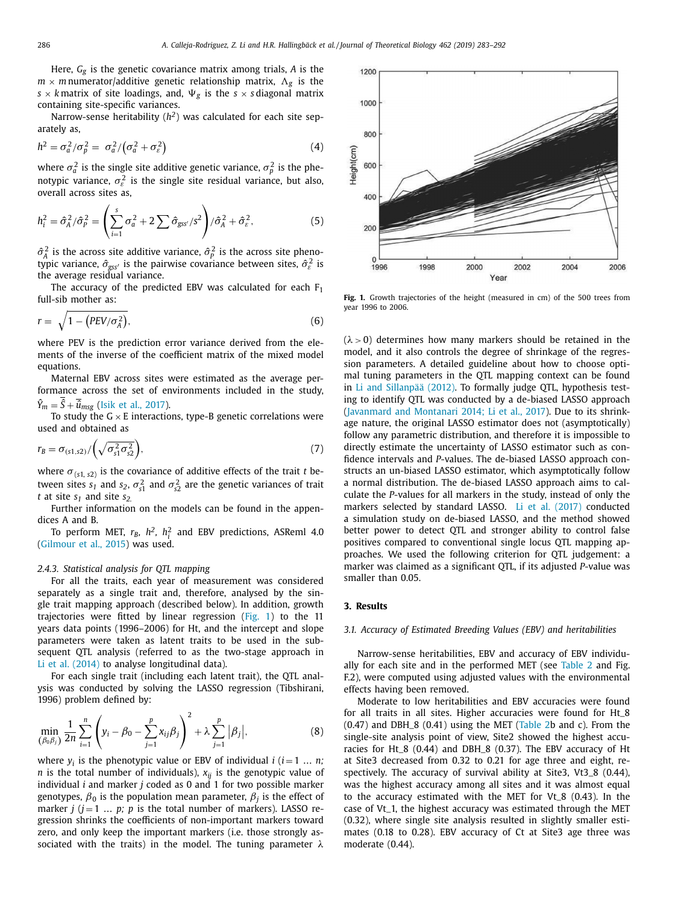Here, *Gg* is the genetic covariance matrix among trials, *A* is the  $m \times m$  numerator/additive genetic relationship matrix,  $\Lambda_g$  is the  $s \times k$  matrix of site loadings, and,  $\Psi_{g}$  is the  $s \times s$  diagonal matrix containing site-specific variances.

Narrow-sense heritability (*h2*) was calculated for each site separately as,

$$
h^2 = \sigma_a^2/\sigma_p^2 = \sigma_a^2/(\sigma_a^2 + \sigma_\varepsilon^2)
$$
 (4)

where  $\sigma_a^2$  is the single site additive genetic variance,  $\sigma_p^2$  is the phenotypic variance,  $\sigma_{\varepsilon}^2$  is the single site residual variance, but also, overall across sites as,

$$
h_i^2 = \hat{\sigma}_A^2 / \hat{\sigma}_P^2 = \left(\sum_{i=1}^s \sigma_a^2 + 2\sum \hat{\sigma}_{\text{gss}^{\prime}} / s^2\right) / \hat{\sigma}_A^2 + \hat{\sigma}_\varepsilon^2, \tag{5}
$$

 $\hat{\sigma}_A^2$  is the across site additive variance,  $\hat{\sigma}_P^2$  is the across site phenotypic variance,  $\hat{\sigma}_{\text{gss}'}$  is the pairwise covariance between sites,  $\hat{\sigma}_{\varepsilon}^2$  is the average residual variance.

The accuracy of the predicted EBV was calculated for each  $F_1$ full-sib mother as:

$$
r = \sqrt{1 - (PEV/\sigma_A^2)},\tag{6}
$$

where PEV is the prediction error variance derived from the elements of the inverse of the coefficient matrix of the mixed model equations.

Maternal EBV across sites were estimated as the average performance across the set of environments included in the study,  $\hat{Y}_m = \hat{S} + \overline{\hat{u}}_{msg}$  (Isik et al., [2017\)](#page-8-0).

To study the  $G \times E$  interactions, type-B genetic correlations were used and obtained as

$$
r_B = \sigma_{(s1,s2)}/\left(\sqrt{\sigma_{s1}^2 \sigma_{s2}^2}\right),\tag{7}
$$

where  $\sigma_{(s1, s2)}$  is the covariance of additive effects of the trait *t* between sites  $s_1$  and  $s_2$ ,  $\sigma_{s_1}^2$  and  $\sigma_{s_2}^2$  are the genetic variances of trait *t* at site  $s_1$  and site  $s_2$ .

Further information on the models can be found in the appendices A and B.

To perform MET,  $r_B$ ,  $h^2$ ,  $h_i^2$  and EBV predictions, ASReml 4.0 [\(Gilmour](#page-8-0) et al., 2015) was used.

## *2.4.3. Statistical analysis for QTL mapping*

For all the traits, each year of measurement was considered separately as a single trait and, therefore, analysed by the single trait mapping approach (described below). In addition, growth trajectories were fitted by linear regression (Fig. 1) to the 11 years data points (1996–2006) for Ht, and the intercept and slope parameters were taken as latent traits to be used in the subsequent QTL analysis (referred to as the two-stage approach in Li et al. [\(2014\)](#page-8-0) to analyse longitudinal data).

For each single trait (including each latent trait), the QTL analysis was conducted by solving the LASSO regression (Tibshirani, 1996) problem defined by:

$$
\min_{(\beta_0, \beta_j)} \frac{1}{2n} \sum_{i=1}^n \left( y_i - \beta_0 - \sum_{j=1}^p x_{ij} \beta_j \right)^2 + \lambda \sum_{j=1}^p |\beta_j|, \tag{8}
$$

where  $y_i$  is the phenotypic value or EBV of individual  $i$  ( $i = 1 \ldots n$ ; *n* is the total number of individuals),  $x_{ij}$  is the genotypic value of individual *i* and marker *j* coded as 0 and 1 for two possible marker genotypes,  $\beta_0$  is the population mean parameter,  $\beta_i$  is the effect of marker  $j$  ( $j = 1$  ...  $p$ ;  $p$  is the total number of markers). LASSO regression shrinks the coefficients of non-important markers toward zero, and only keep the important markers (i.e. those strongly associated with the traits) in the model. The tuning parameter  $\lambda$ 



**Fig. 1.** Growth trajectories of the height (measured in cm) of the 500 trees from year 1996 to 2006.

 $(\lambda > 0)$  determines how many markers should be retained in the model, and it also controls the degree of shrinkage of the regression parameters. A detailed guideline about how to choose optimal tuning parameters in the QTL mapping context can be found in Li and [Sillanpää \(2012\).](#page-8-0) To formally judge QTL, hypothesis testing to identify QTL was conducted by a de-biased LASSO approach [\(Javanmard](#page-8-0) and Montanari 2014; Li et al., 2017). Due to its shrinkage nature, the original LASSO estimator does not (asymptotically) follow any parametric distribution, and therefore it is impossible to directly estimate the uncertainty of LASSO estimator such as confidence intervals and *P*-values. The de-biased LASSO approach constructs an un-biased LASSO estimator, which asymptotically follow a normal distribution. The de-biased LASSO approach aims to calculate the *P*-values for all markers in the study, instead of only the markers selected by standard LASSO. Li et al. [\(2017\)](#page-8-0) conducted a simulation study on de-biased LASSO, and the method showed better power to detect QTL and stronger ability to control false positives compared to conventional single locus QTL mapping approaches. We used the following criterion for QTL judgement: a marker was claimed as a significant QTL, if its adjusted *P*-value was smaller than 0.05.

# **3. Results**

#### *3.1. Accuracy of Estimated Breeding Values (EBV) and heritabilities*

Narrow-sense heritabilities, EBV and accuracy of EBV individually for each site and in the performed MET (see [Table](#page-4-0) 2 and Fig. F.2), were computed using adjusted values with the environmental effects having been removed.

Moderate to low heritabilities and EBV accuracies were found for all traits in all sites. Higher accuracies were found for Ht\_8  $(0.47)$  and DBH $_8$   $(0.41)$  using the MET [\(Table](#page-4-0) 2b and c). From the single-site analysis point of view, Site2 showed the highest accuracies for Ht\_8 (0.44) and DBH\_8 (0.37). The EBV accuracy of Ht at Site3 decreased from 0.32 to 0.21 for age three and eight, respectively. The accuracy of survival ability at Site3, Vt3\_8 (0.44), was the highest accuracy among all sites and it was almost equal to the accuracy estimated with the MET for Vt\_8 (0.43). In the case of Vt\_1, the highest accuracy was estimated through the MET (0.32), where single site analysis resulted in slightly smaller estimates (0.18 to 0.28). EBV accuracy of Ct at Site3 age three was moderate (0.44).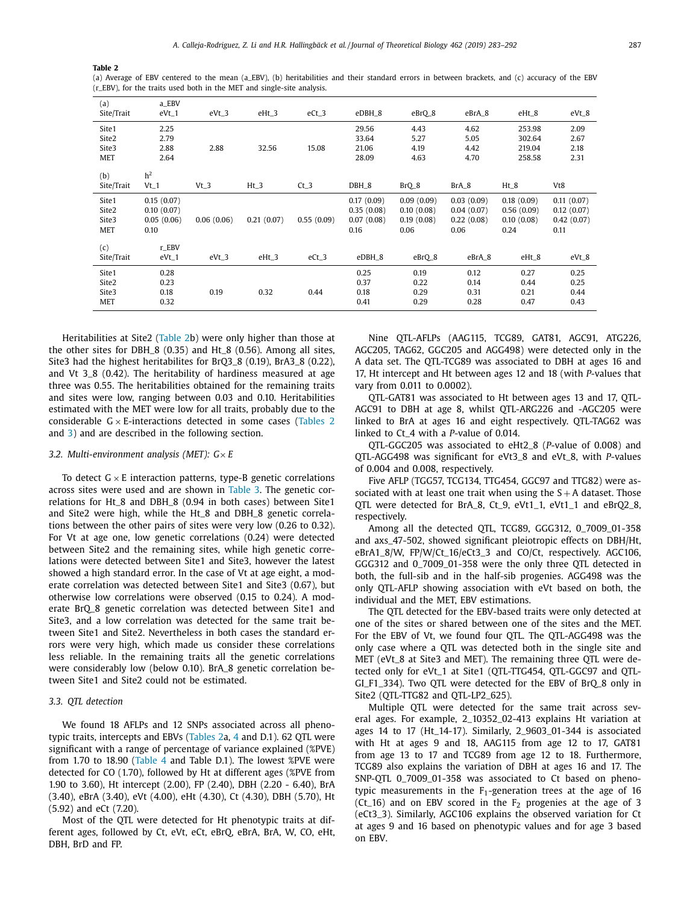<span id="page-4-0"></span>**Table 2**

(a) Average of EBV centered to the mean (a\_EBV), (b) heritabilities and their standard errors in between brackets, and (c) accuracy of the EBV (r\_EBV), for the traits used both in the MET and single-site analysis.

| (a)        | a_EBV          |            |            |            |            |            |            |            |            |
|------------|----------------|------------|------------|------------|------------|------------|------------|------------|------------|
| Site/Trait | $eVt_1$        | $eVt_3$    | $eHt_3$    | $eCt_3$    | eDBH_8     | eBrQ_8     | eBrA_8     | eHt_8      | $eVt_8$    |
| Site1      | 2.25           |            |            |            | 29.56      | 4.43       | 4.62       | 253.98     | 2.09       |
| Site2      | 2.79           |            |            |            | 33.64      | 5.27       | 5.05       | 302.64     | 2.67       |
| Site3      | 2.88           | 2.88       | 32.56      | 15.08      | 21.06      | 4.19       | 4.42       | 219.04     | 2.18       |
| <b>MET</b> | 2.64           |            |            |            | 28.09      | 4.63       | 4.70       | 258.58     | 2.31       |
| (b)        | h <sup>2</sup> |            |            |            |            |            |            |            |            |
| Site/Trait | $Vt_1$         | $Vt_3$     | $Ht_3$     | $Ct_3$     | DBH_8      | $BrQ_8$    | BrA_8      | Ht_8       | Vt8        |
| Site1      | 0.15(0.07)     |            |            |            | 0.17(0.09) | 0.09(0.09) | 0.03(0.09) | 0.18(0.09) | 0.11(0.07) |
| Site2      | 0.10(0.07)     |            |            |            | 0.35(0.08) | 0.10(0.08) | 0.04(0.07) | 0.56(0.09) | 0.12(0.07) |
| Site3      | 0.05(0.06)     | 0.06(0.06) | 0.21(0.07) | 0.55(0.09) | 0.07(0.08) | 0.19(0.08) | 0.22(0.08) | 0.10(0.08) | 0.42(0.07) |
| <b>MET</b> | 0.10           |            |            |            | 0.16       | 0.06       | 0.06       | 0.24       | 0.11       |
| (c)        | r_EBV          |            |            |            |            |            |            |            |            |
| Site/Trait | $eVt_1$        | $eVt_3$    | $eHt_3$    | $eCt_3$    | eDBH_8     | eBrQ_8     | eBrA_8     | eHt_8      | eVt_8      |
| Site1      | 0.28           |            |            |            | 0.25       | 0.19       | 0.12       | 0.27       | 0.25       |
| Site2      | 0.23           |            |            |            | 0.37       | 0.22       | 0.14       | 0.44       | 0.25       |
| Site3      | 0.18           | 0.19       | 0.32       | 0.44       | 0.18       | 0.29       | 0.31       | 0.21       | 0.44       |
| <b>MET</b> | 0.32           |            |            |            | 0.41       | 0.29       | 0.28       | 0.47       | 0.43       |

Heritabilities at Site2 (Table 2b) were only higher than those at the other sites for DBH\_8 (0.35) and Ht\_8 (0.56). Among all sites, Site3 had the highest heritabilites for BrQ3\_8 (0.19), BrA3\_8 (0.22), and Vt 3\_8 (0.42). The heritability of hardiness measured at age three was 0.55. The heritabilities obtained for the remaining traits and sites were low, ranging between 0.03 and 0.10. Heritabilities estimated with the MET were low for all traits, probably due to the considerable  $G \times E$ -interactions detected in some cases (Tables 2 and [3\)](#page-5-0) and are described in the following section.

# *3.2. Multi-environment analysis (MET): G*× *E*

To detect  $G \times E$  interaction patterns, type-B genetic correlations across sites were used and are shown in [Table](#page-5-0) 3. The genetic correlations for Ht\_8 and DBH\_8 (0.94 in both cases) between Site1 and Site2 were high, while the Ht\_8 and DBH\_8 genetic correlations between the other pairs of sites were very low (0.26 to 0.32). For Vt at age one, low genetic correlations (0.24) were detected between Site2 and the remaining sites, while high genetic correlations were detected between Site1 and Site3, however the latest showed a high standard error. In the case of Vt at age eight, a moderate correlation was detected between Site1 and Site3 (0.67), but otherwise low correlations were observed (0.15 to 0.24). A moderate BrQ\_8 genetic correlation was detected between Site1 and Site3, and a low correlation was detected for the same trait between Site1 and Site2. Nevertheless in both cases the standard errors were very high, which made us consider these correlations less reliable. In the remaining traits all the genetic correlations were considerably low (below 0.10). BrA\_8 genetic correlation between Site1 and Site2 could not be estimated.

# *3.3. QTL detection*

We found 18 AFLPs and 12 SNPs associated across all phenotypic traits, intercepts and EBVs (Tables 2a, [4](#page-6-0) and D.1). 62 QTL were significant with a range of percentage of variance explained (%PVE) from 1.70 to 18.90 [\(Table](#page-6-0) 4 and Table D.1). The lowest %PVE were detected for CO (1.70), followed by Ht at different ages (%PVE from 1.90 to 3.60), Ht intercept (2.00), FP (2.40), DBH (2.20 - 6.40), BrA (3.40), eBrA (3.40), eVt (4.00), eHt (4.30), Ct (4.30), DBH (5.70), Ht (5.92) and eCt (7.20).

Most of the QTL were detected for Ht phenotypic traits at different ages, followed by Ct, eVt, eCt, eBrQ, eBrA, BrA, W, CO, eHt, DBH, BrD and FP.

Nine QTL-AFLPs (AAG115, TCG89, GAT81, AGC91, ATG226, AGC205, TAG62, GGC205 and AGG498) were detected only in the A data set. The QTL-TCG89 was associated to DBH at ages 16 and 17, Ht intercept and Ht between ages 12 and 18 (with *P-*values that vary from 0.011 to 0.0002).

QTL-GAT81 was associated to Ht between ages 13 and 17, QTL-AGC91 to DBH at age 8, whilst QTL-ARG226 and -AGC205 were linked to BrA at ages 16 and eight respectively. QTL-TAG62 was linked to Ct\_4 with a *P*-value of 0.014.

QTL-GGC205 was associated to eHt2\_8 (*P*-value of 0.008) and QTL-AGG498 was significant for eVt3\_8 and eVt\_8, with *P*-values of 0.004 and 0.008, respectively.

Five AFLP (TGG57, TCG134, TTG454, GGC97 and TTG82) were associated with at least one trait when using the  $S + A$  dataset. Those QTL were detected for BrA\_8, Ct\_9, eVt1\_1, eVt1\_1 and eBrQ2\_8, respectively.

Among all the detected QTL, TCG89, GGG312, 0\_7009\_01-358 and axs\_47-502, showed significant pleiotropic effects on DBH/Ht, eBrA1\_8/W, FP/W/Ct\_16/eCt3\_3 and CO/Ct, respectively. AGC106, GGG312 and 0\_7009\_01-358 were the only three QTL detected in both, the full-sib and in the half-sib progenies. AGG498 was the only QTL-AFLP showing association with eVt based on both, the individual and the MET, EBV estimations.

The QTL detected for the EBV-based traits were only detected at one of the sites or shared between one of the sites and the MET. For the EBV of Vt, we found four QTL. The QTL-AGG498 was the only case where a QTL was detected both in the single site and MET (eVt\_8 at Site3 and MET). The remaining three QTL were detected only for eVt\_1 at Site1 (QTL-TTG454, QTL-GGC97 and QTL-GI\_F1\_334). Two QTL were detected for the EBV of BrQ\_8 only in Site2 (QTL-TTG82 and QTL-LP2\_625).

Multiple QTL were detected for the same trait across several ages. For example, 2\_10352\_02-413 explains Ht variation at ages 14 to 17 (Ht\_14-17). Similarly, 2\_9603\_01-344 is associated with Ht at ages 9 and 18, AAG115 from age 12 to 17, GAT81 from age 13 to 17 and TCG89 from age 12 to 18. Furthermore, TCG89 also explains the variation of DBH at ages 16 and 17. The SNP-QTL 0\_7009\_01-358 was associated to Ct based on phenotypic measurements in the  $F_1$ -generation trees at the age of 16 (Ct<sub>-16</sub>) and on EBV scored in the  $F_2$  progenies at the age of 3 (eCt3\_3). Similarly, AGC106 explains the observed variation for Ct at ages 9 and 16 based on phenotypic values and for age 3 based on EBV.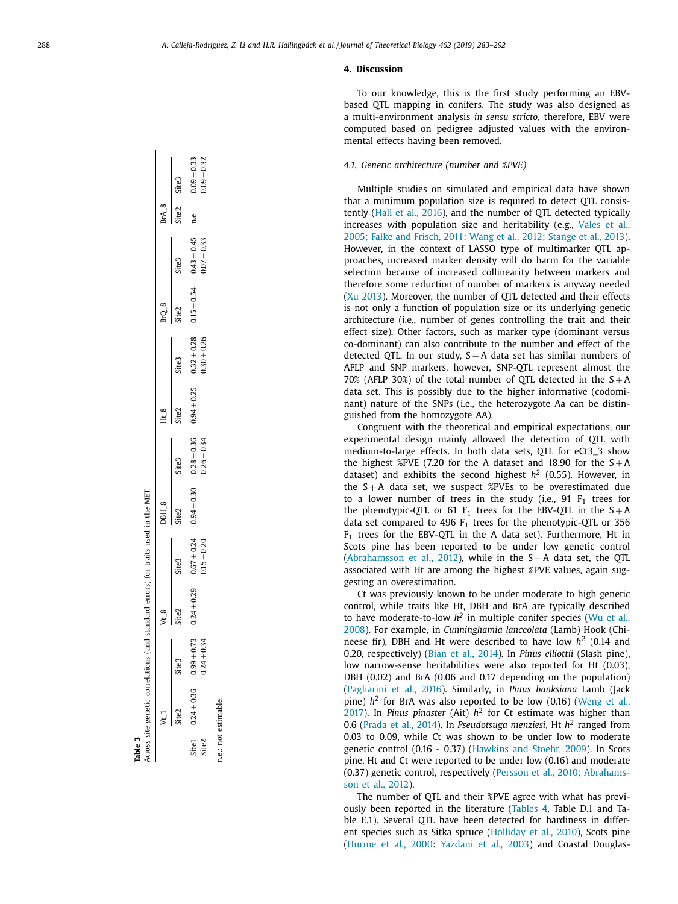# **4. Discussion**

To our knowledge, this is the first study performing an EBVbased QTL mapping in conifers. The study was also designed as a multi-environment analysis *in sensu stricto*, therefore, EBV were computed based on pedigree adjusted values with the environmental effects having been removed.

# *4.1. Genetic architecture (number and %PVE)*

Multiple studies on simulated and empirical data have shown that a minimum population size is required to detect QTL consistently (Hall et al., [2016\)](#page-8-0), and the number of QTL detected typically increases with population size and [heritability](#page-9-0) (e.g., Vales et al., 2005; Falke and Frisch, 2011; Wang et al., 2012; Stange et al., 2013). However, in the context of LASSO type of multimarker QTL approaches, increased marker density will do harm for the variable selection because of increased collinearity between markers and therefore some reduction of number of markers is anyway needed (Xu [2013\)](#page-9-0). Moreover, the number of QTL detected and their effects is not only a function of population size or its underlying genetic architecture (i.e., number of genes controlling the trait and their effect size). Other factors, such as marker type (dominant versus co-dominant) can also contribute to the number and effect of the detected QTL. In our study,  $S + A$  data set has similar numbers of AFLP and SNP markers, however, SNP-QTL represent almost the 70% (AFLP 30%) of the total number of QTL detected in the  $S + A$ data set. This is possibly due to the higher informative (codominant) nature of the SNPs (i.e., the heterozygote Aa can be distinguished from the homozygote AA).

Congruent with the theoretical and empirical expectations, our experimental design mainly allowed the detection of QTL with medium-to-large effects. In both data sets, QTL for eCt3\_3 show the highest %PVE (7.20 for the A dataset and 18.90 for the  $S+A$ dataset) and exhibits the second highest  $h^2$  (0.55). However, in the  $S + A$  data set, we suspect %PVEs to be overestimated due to a lower number of trees in the study (i.e.,  $91 F<sub>1</sub>$  trees for the phenotypic-QTL or 61  $F_1$  trees for the EBV-QTL in the S + A data set compared to 496  $F_1$  trees for the phenotypic-QTL or 356  $F_1$  trees for the EBV-QTL in the A data set). Furthermore, Ht in Scots pine has been reported to be under low genetic control [\(Abrahamsson](#page-8-0) et al., 2012), while in the  $S + A$  data set, the QTL associated with Ht are among the highest %PVE values, again suggesting an overestimation.

Ct was previously known to be under moderate to high genetic control, while traits like Ht, DBH and BrA are typically described to have [moderate-to-low](#page-9-0)  $h^2$  in multiple conifer species (Wu et al., 2008). For example, in *Cunninghamia lanceolata* (Lamb) Hook (Chineese fir), DBH and Ht were described to have low *h<sup>2</sup>* (0.14 and 0.20, respectively) (Bian et al., [2014\)](#page-8-0). In *Pinus elliottii* (Slash pine), low narrow-sense heritabilities were also reported for Ht (0.03), DBH (0.02) and BrA (0.06 and 0.17 depending on the population) [\(Pagliarini](#page-9-0) et al., 2016). Similarly, in *Pinus banksiana* Lamb (Jack pine)  $h^2$  for BrA was also [reported](#page-9-0) to be low  $(0.16)$  (Weng et al., 2017). In *Pinus pinaster* (Ait)  $h^2$  for Ct estimate was higher than 0.6 [\(Prada](#page-9-0) et al., 2014). In *Pseudotsuga menziesi* , Ht *h <sup>2</sup>* ranged from 0.03 to 0.09, while Ct was shown to be under low to moderate genetic control (0.16 - 0.37) [\(Hawkins](#page-8-0) and Stoehr, 2009). In Scots pine, Ht and Ct were reported to be under low (0.16) and moderate (0.37) genetic control, [respectively](#page-9-0) (Persson et al., 2010; Abrahamsson et al., 2012).

The number of QTL and their %PVE agree with what has previously been reported in the literature [\(Tables](#page-6-0) 4, Table D.1 and Table E.1). Several QTL have been detected for hardiness in different species such as Sitka spruce [\(Holliday](#page-8-0) et al., 2010), Scots pine [\(Hurme](#page-8-0) et al., 2000: [Yazdani](#page-9-0) et al., 2003) and Coastal Douglas-

<span id="page-5-0"></span>

|       |                            |                    | Across site genetic correlations (and standard errors) for traits used in the MET.                                |                 |                   |                   |          |               |       |                 |             |                                  |
|-------|----------------------------|--------------------|-------------------------------------------------------------------------------------------------------------------|-----------------|-------------------|-------------------|----------|---------------|-------|-----------------|-------------|----------------------------------|
|       |                            |                    | $V_{-8}$                                                                                                          |                 | DBH_8             |                   | $H_{-8}$ |               | BrQ_8 |                 | $BrA_8$     |                                  |
|       | Site2                      | Site:              | Site2                                                                                                             | Site3           | Site <sub>2</sub> | Site <sub>3</sub> | Site2    | <b>Site3</b>  | Site2 | Site3           | Site2 Site3 |                                  |
| Site2 | Site1 $0.24 \pm 0.36$ 0.99 | $4 + 0.34$<br>0.24 | $645 - 245$ $124 + 0.29$ $245 - 0.54 + 0.36$ $0.26 + 0.25$ $0.54 + 0.25$ $0.52 + 0.52 + 0.5$ $0.43 + 0.45$ $0.45$ | $0.15 \pm 0.20$ |                   | $0.26 \pm 0.34$   |          | $0.30 + 0.26$ |       | $0.07 \pm 0.33$ | n.e         | $0.09 + 0.32$<br>$0.09 \pm 0.33$ |
|       | e: not estimable.          |                    |                                                                                                                   |                 |                   |                   |          |               |       |                 |             |                                  |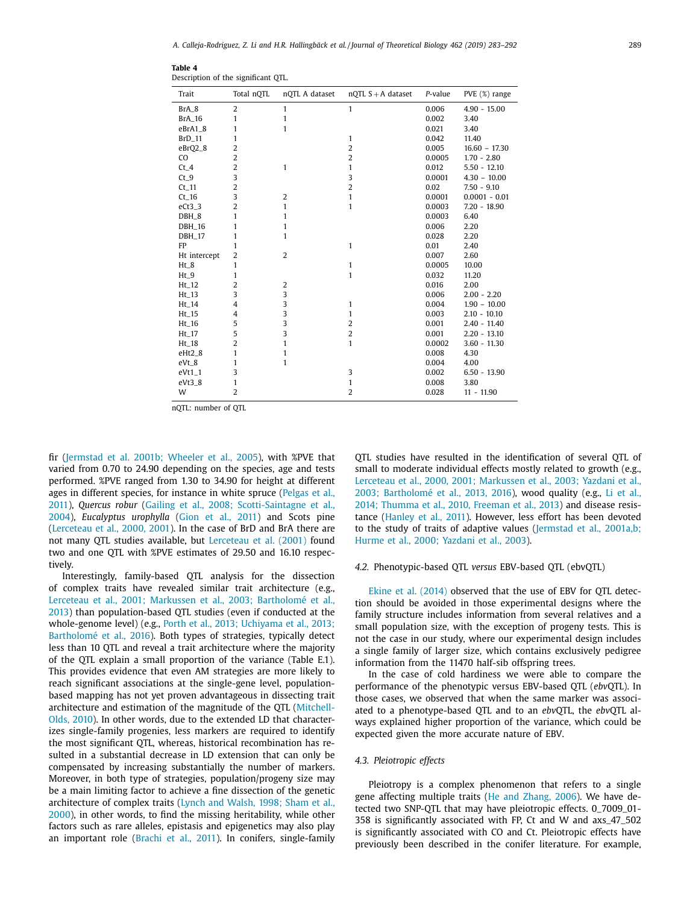| Trait         | Total nOTL     | nQTL A dataset | $nQTL S + A$ dataset | P-value | PVE (%) range   |
|---------------|----------------|----------------|----------------------|---------|-----------------|
| BrA_8         | $\overline{2}$ | 1              | $\mathbf{1}$         | 0.006   | $4.90 - 15.00$  |
| <b>BrA_16</b> | 1              | 1              |                      | 0.002   | 3.40            |
| eBrA1_8       | 1              | $\mathbf{1}$   |                      | 0.021   | 3.40            |
| $BrD_11$      | 1              |                | $\mathbf{1}$         | 0.042   | 11.40           |
| eBrQ2_8       | $\overline{2}$ |                | $\overline{2}$       | 0.005   | $16.60 - 17.30$ |
| CO.           | $\overline{2}$ |                | $\overline{2}$       | 0.0005  | $1.70 - 2.80$   |
| $Ct_4$        | $\overline{2}$ | $\mathbf{1}$   | 1                    | 0.012   | $5.50 - 12.10$  |
| $Ct_9$        | 3              |                | 3                    | 0.0001  | $4.30 - 10.00$  |
| $Ct_1$ 11     | $\overline{2}$ |                | $\overline{2}$       | 0.02    | $7.50 - 9.10$   |
| $Ct_1$ 16     | 3              | 2              | 1                    | 0.0001  | $0.0001 - 0.01$ |
| $eCt3_3$      | $\overline{2}$ | 1              | $\mathbf{1}$         | 0.0003  | $7.20 - 18.90$  |
| DBH_8         | 1              | 1              |                      | 0.0003  | 6.40            |
| <b>DBH_16</b> | 1              | 1              |                      | 0.006   | 2.20            |
| <b>DBH_17</b> | 1              | $\mathbf{1}$   |                      | 0.028   | 2.20            |
| FP            | 1              |                | $\mathbf{1}$         | 0.01    | 2.40            |
| Ht intercept  | $\overline{2}$ | 2              |                      | 0.007   | 2.60            |
| $Ht_8$        | 1              |                | $\mathbf{1}$         | 0.0005  | 10.00           |
| $Ht_9$        | 1              |                | $\mathbf{1}$         | 0.032   | 11.20           |
| $Ht_12$       | $\overline{2}$ | 2              |                      | 0.016   | 2.00            |
| $Ht_13$       | 3              | 3              |                      | 0.006   | $2.00 - 2.20$   |
| $Ht_14$       | 4              | 3              | $\mathbf{1}$         | 0.004   | $1.90 - 10.00$  |
| $Ht_15$       | 4              | 3              | 1                    | 0.003   | $2.10 - 10.10$  |
| $Ht_16$       | 5              | 3              | 2                    | 0.001   | $2.40 - 11.40$  |
| $Ht_17$       | 5              | 3              | $\overline{2}$       | 0.001   | $2.20 - 13.10$  |
| $Ht_18$       | $\overline{2}$ | 1              | $\mathbf{1}$         | 0.0002  | $3.60 - 11.30$  |
| $eHt2_8$      | 1              | 1              |                      | 0.008   | 4.30            |
| $eVt_8$       | 1              | $\mathbf{1}$   |                      | 0.004   | 4.00            |
| $eVt1_1$      | 3              |                | 3                    | 0.002   | $6.50 - 13.90$  |
| $eVt3_8$      | 1              |                | $\mathbf{1}$         | 0.008   | 3.80            |
| W             | $\overline{2}$ |                | $\overline{2}$       | 0.028   | $11 - 11.90$    |

<span id="page-6-0"></span>**Table 4** Description of the significant QTL.

nQTL: number of QTL

fir [\(Jermstad](#page-8-0) et al. 2001b; Wheeler et al., 2005), with %PVE that varied from 0.70 to 24.90 depending on the species, age and tests performed. %PVE ranged from 1.30 to 34.90 for height at different ages in different species, for instance in white spruce (Pelgas et al., 2011), *Quercus robur* (Gailing et al., 2008; [Scotti-Saintagne](#page-9-0) et al., 2004), *Eucalyptus urophylla* [\(Gion](#page-8-0) et al., 2011) and Scots pine [\(Lerceteau](#page-8-0) et al., 2000, 2001). In the case of BrD and BrA there are not many QTL studies available, but [Lerceteau](#page-8-0) et al. (2001) found two and one QTL with %PVE estimates of 29.50 and 16.10 respectively.

Interestingly, family-based QTL analysis for the dissection of complex traits have revealed similar trait architecture (e.g., Lerceteau et al., 2001; Markussen et al., 2003; Bartholomé et al., 2013) than [population-based](#page-8-0) QTL studies (even if conducted at the whole-genome level) (e.g., Porth et al., 2013; Uchiyama et al., 2013; Bartholomé et al., 2016). Both types of strategies, [typically detect](#page-9-0) less than 10 QTL and reveal a trait architecture where the majority of the QTL explain a small proportion of the variance (Table E.1). This provides evidence that even AM strategies are more likely to reach significant associations at the single-gene level, populationbased mapping has not yet proven advantageous in dissecting trait [architecture](#page-9-0) and estimation of the magnitude of the QTL (Mitchell-Olds, 2010). In other words, due to the extended LD that characterizes single-family progenies, less markers are required to identify the most significant QTL, whereas, historical recombination has resulted in a substantial decrease in LD extension that can only be compensated by increasing substantially the number of markers. Moreover, in both type of strategies, population/progeny size may be a main limiting factor to achieve a fine dissection of the genetic [architecture](#page-8-0) of complex traits (Lynch and Walsh, 1998; Sham et al., 2000), in other words, to find the missing heritability, while other factors such as rare alleles, epistasis and epigenetics may also play an important role [\(Brachi](#page-8-0) et al., 2011). In conifers, single-family

QTL studies have resulted in the identification of several QTL of small to moderate individual effects mostly related to growth (e.g., Lerceteau et al., 2000, 2001; Markussen et al., 2003; Yazdani et al., 2003; [Bartholomé et](#page-8-0) al., 2013, 2016), wood quality (e.g., Li et al., 2014; Thumma et al., 2010, Freeman et al., 2013) and disease resistance [\(Hanley](#page-8-0) et al., 2011). However, less effort has been devoted to the study of traits of adaptive values [\(Jermstad](#page-8-0) et al., 2001a,b; Hurme et al., 2000; Yazdani et al., 2003).

## *4.2.* Phenotypic-based QTL *versus* EBV-based QTL (ebvQTL)

Ekine et al. [\(2014\)](#page-8-0) observed that the use of EBV for QTL detection should be avoided in those experimental designs where the family structure includes information from several relatives and a small population size, with the exception of progeny tests. This is not the case in our study, where our experimental design includes a single family of larger size, which contains exclusively pedigree information from the 11470 half-sib offspring trees.

In the case of cold hardiness we were able to compare the performance of the phenotypic versus EBV-based QTL (*ebv*QTL). In those cases, we observed that when the same marker was associated to a phenotype-based QTL and to an *ebv*QTL, the *ebv*QTL always explained higher proportion of the variance, which could be expected given the more accurate nature of EBV.

# *4.3. Pleiotropic effects*

Pleiotropy is a complex phenomenon that refers to a single gene affecting multiple traits (He and [Zhang,](#page-8-0) 2006). We have detected two SNP-QTL that may have pleiotropic effects. 0\_7009\_01- 358 is significantly associated with FP, Ct and W and axs\_47\_502 is significantly associated with CO and Ct. Pleiotropic effects have previously been described in the conifer literature. For example,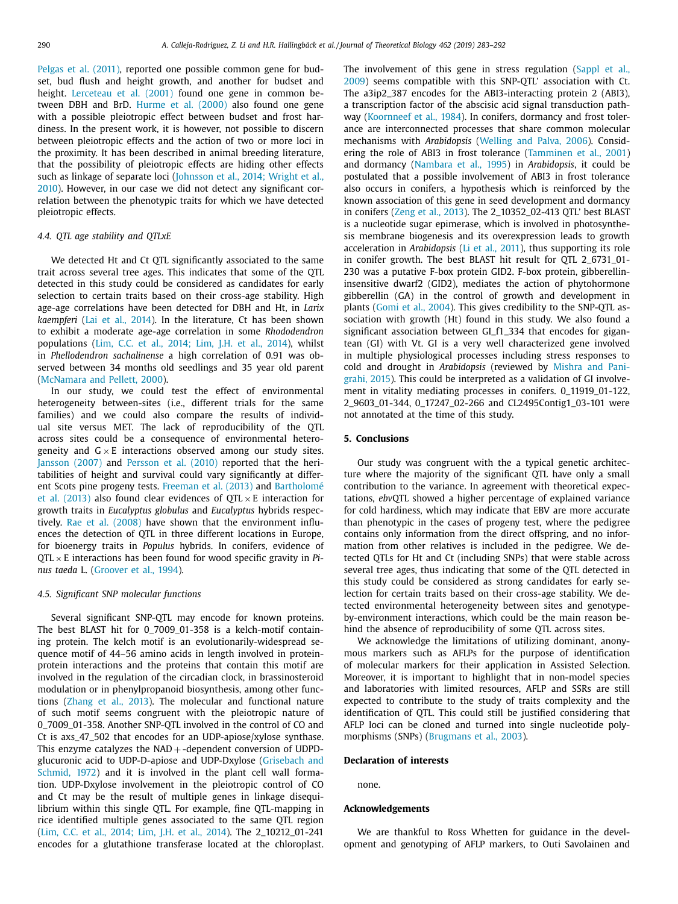Pelgas et al. [\(2011\),](#page-9-0) reported one possible common gene for budset, bud flush and height growth, and another for budset and height. [Lerceteau](#page-8-0) et al. (2001) found one gene in common between DBH and BrD. [Hurme](#page-8-0) et al. (2000) also found one gene with a possible pleiotropic effect between budset and frost hardiness. In the present work, it is however, not possible to discern between pleiotropic effects and the action of two or more loci in the proximity. It has been described in animal breeding literature, that the possibility of pleiotropic effects are hiding other effects such as linkage of separate loci (Johnsson et al., 2014; Wright et al., 2010). However, in our case we did not detect any [significant](#page-8-0) correlation between the phenotypic traits for which we have detected pleiotropic effects.

## *4.4. QTL age stability and QTLxE*

We detected Ht and Ct QTL significantly associated to the same trait across several tree ages. This indicates that some of the QTL detected in this study could be considered as candidates for early selection to certain traits based on their cross-age stability. High age-age correlations have been detected for DBH and Ht, in *Larix kaempferi* (Lai et al., [2014\)](#page-8-0). In the literature, Ct has been shown to exhibit a moderate age-age correlation in some *Rhododendron* populations (Lim, C.C. et al., [2014;](#page-8-0) Lim, J.H. et al., 2014), whilst in *Phellodendron sachalinense* a high correlation of 0.91 was observed between 34 months old seedlings and 35 year old parent [\(McNamara](#page-9-0) and Pellett, 2000).

In our study, we could test the effect of environmental heterogeneity between-sites (i.e., different trials for the same families) and we could also compare the results of individual site versus MET. The lack of reproducibility of the QTL across sites could be a consequence of environmental heterogeneity and  $G \times E$  interactions observed among our study sites. [Jansson](#page-8-0) (2007) and [Persson](#page-9-0) et al. (2010) reported that the heritabilities of height and survival could vary significantly at different Scots pine progeny tests. [Freeman](#page-8-0) et al. (2013) and [Bartholomé](#page-8-0) et al. (2013) also found clear evidences of  $QTL \times E$  interaction for growth traits in *Eucalyptus globulus* and *Eucalyptus* hybrids respectively. Rae et al. [\(2008\)](#page-9-0) have shown that the environment influences the detection of QTL in three different locations in Europe, for bioenergy traits in *Populus* hybrids. In conifers, evidence of QTL × E interactions has been found for wood specific gravity in *Pinus taeda* L. [\(Groover](#page-8-0) et al., 1994).

# *4.5. Significant SNP molecular functions*

Several significant SNP-QTL may encode for known proteins. The best BLAST hit for 0\_7009\_01-358 is a kelch-motif containing protein. The kelch motif is an evolutionarily-widespread sequence motif of 44–56 amino acids in length involved in proteinprotein interactions and the proteins that contain this motif are involved in the regulation of the circadian clock, in brassinosteroid modulation or in phenylpropanoid biosynthesis, among other functions [\(Zhang](#page-9-0) et al., 2013). The molecular and functional nature of such motif seems congruent with the pleiotropic nature of 0\_7009\_01-358. Another SNP-QTL involved in the control of CO and Ct is axs\_47\_502 that encodes for an UDP-apiose/xylose synthase. This enzyme catalyzes the  $NAD + -$ dependent conversion of UDPDglucuronic acid to [UDP-D-apiose](#page-8-0) and UDP-Dxylose (Grisebach and Schmid, 1972) and it is involved in the plant cell wall formation. UDP-Dxylose involvement in the pleiotropic control of CO and Ct may be the result of multiple genes in linkage disequilibrium within this single QTL. For example, fine QTL-mapping in rice identified multiple genes associated to the same QTL region (Lim, C.C. et al., [2014;](#page-8-0) Lim, J.H. et al., 2014). The 2\_10212\_01-241 encodes for a glutathione transferase located at the chloroplast. The [involvement](#page-9-0) of this gene in stress regulation (Sappl et al., 2009) seems compatible with this SNP-QTL' association with Ct. The a3ip2\_387 encodes for the ABI3-interacting protein 2 (ABI3), a transcription factor of the abscisic acid signal transduction pathway [\(Koornneef](#page-8-0) et al., 1984). In conifers, dormancy and frost tolerance are interconnected processes that share common molecular mechanisms with *Arabidopsis* [\(Welling](#page-9-0) and Palva, 2006). Considering the role of ABI3 in frost tolerance [\(Tamminen](#page-9-0) et al., 2001) and dormancy [\(Nambara](#page-9-0) et al., 1995) in *Arabidopsis*, it could be postulated that a possible involvement of ABI3 in frost tolerance also occurs in conifers, a hypothesis which is reinforced by the known association of this gene in seed development and dormancy in conifers (Zeng et al., [2013\)](#page-9-0). The 2\_10352\_02-413 QTL' best BLAST is a nucleotide sugar epimerase, which is involved in photosynthesis membrane biogenesis and its overexpression leads to growth acceleration in *Arabidopsis* (Li et al., [2011\)](#page-8-0), thus supporting its role in conifer growth. The best BLAST hit result for QTL 2\_6731\_01- 230 was a putative F-box protein GID2. F-box protein, gibberellininsensitive dwarf2 (GID2), mediates the action of phytohormone gibberellin (GA) in the control of growth and development in plants [\(Gomi](#page-8-0) et al., 2004). This gives credibility to the SNP-QTL association with growth (Ht) found in this study. We also found a significant association between GI\_f1\_334 that encodes for gigantean (GI) with Vt. GI is a very well characterized gene involved in multiple physiological processes including stress responses to cold and drought in *Arabidopsis* (reviewed by Mishra and Panigrahi, 2015). This could be [interpreted](#page-9-0) as a validation of GI involvement in vitality mediating processes in conifers. 0\_11919\_01-122, 2\_9603\_01-344, 0\_17247\_02-266 and CL2495Contig1\_03-101 were not annotated at the time of this study.

#### **5. Conclusions**

Our study was congruent with the a typical genetic architecture where the majority of the significant QTL have only a small contribution to the variance. In agreement with theoretical expectations, *ebv*QTL showed a higher percentage of explained variance for cold hardiness, which may indicate that EBV are more accurate than phenotypic in the cases of progeny test, where the pedigree contains only information from the direct offspring, and no information from other relatives is included in the pedigree. We detected QTLs for Ht and Ct (including SNPs) that were stable across several tree ages, thus indicating that some of the QTL detected in this study could be considered as strong candidates for early selection for certain traits based on their cross-age stability. We detected environmental heterogeneity between sites and genotypeby-environment interactions, which could be the main reason behind the absence of reproducibility of some QTL across sites.

We acknowledge the limitations of utilizing dominant, anonymous markers such as AFLPs for the purpose of identification of molecular markers for their application in Assisted Selection. Moreover, it is important to highlight that in non-model species and laboratories with limited resources, AFLP and SSRs are still expected to contribute to the study of traits complexity and the identification of QTL. This could still be justified considering that AFLP loci can be cloned and turned into single nucleotide polymorphisms (SNPs) [\(Brugmans](#page-8-0) et al., 2003).

#### **Declaration of interests**

none.

## **Acknowledgements**

We are thankful to Ross Whetten for guidance in the development and genotyping of AFLP markers, to Outi Savolainen and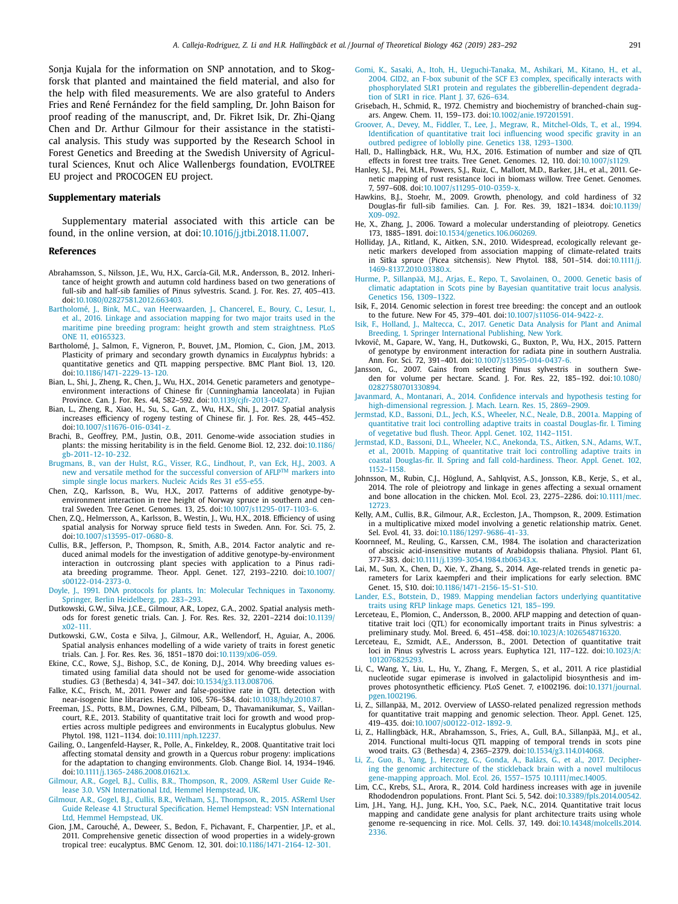<span id="page-8-0"></span>Sonja Kujala for the information on SNP annotation, and to Skogforsk that planted and maintained the field material, and also for the help with filed measurements. We are also grateful to Anders Fries and René Fernández for the field sampling, Dr. John Baison for proof reading of the manuscript, and, Dr. Fikret Isik, Dr. Zhi-Qiang Chen and Dr. Arthur Gilmour for their assistance in the statistical analysis. This study was supported by the Research School in Forest Genetics and Breeding at the Swedish University of Agricultural Sciences, Knut och Alice Wallenbergs foundation, EVOLTREE EU project and PROCOGEN EU project.

## **Supplementary materials**

Supplementary material associated with this article can be found, in the online version, at doi[:10.1016/j.jtbi.2018.11.007.](https://doi.org/10.1016/j.jtbi.2018.11.007)

#### **References**

- Abrahamsson, S., Nilsson, J.E., Wu, H.X., García-Gil, M.R., Andersson, B., 2012. Inheritance of height growth and autumn cold hardiness based on two generations of full-sib and half-sib families of Pinus sylvestris. Scand. J. For. Res. 27, 405–413. doi[:10.1080/02827581.2012.663403.](https://doi.org/10.1080/02827581.2012.663403)
- [Bartholomé,](http://refhub.elsevier.com/S0022-5193(18)30554-X/sbref0002) J., [Bink,](http://refhub.elsevier.com/S0022-5193(18)30554-X/sbref0002) M.C., van [Heerwaarden,](http://refhub.elsevier.com/S0022-5193(18)30554-X/sbref0002) J., [Chancerel,](http://refhub.elsevier.com/S0022-5193(18)30554-X/sbref0002) E., [Boury,](http://refhub.elsevier.com/S0022-5193(18)30554-X/sbref0002) C., [Lesur,](http://refhub.elsevier.com/S0022-5193(18)30554-X/sbref0002) I., et [al.,](http://refhub.elsevier.com/S0022-5193(18)30554-X/sbref0002) 2016. Linkage and association mapping for two major traits used in the maritime pine breeding program: height growth and stem [straightness.](http://refhub.elsevier.com/S0022-5193(18)30554-X/sbref0002) PLoS ONE 11, e0165323.
- Bartholomé, J., Salmon, F., Vigneron, P., Bouvet, J.M., Plomion, C., Gion, J.M., 2013. Plasticity of primary and secondary growth dynamics in *Eucalyptus* hybrids: a quantitative genetics and QTL mapping perspective. BMC Plant Biol. 13, 120. doi[:10.1186/1471-2229-13-120.](https://doi.org/10.1186/1471-2229-13-120)
- Bian, L., Shi, J., Zheng, R., Chen, J., Wu, H.X., 2014. Genetic parameters and genotype environment interactions of Chinese fir (Cunninghamia lanceolata) in Fujian Province. Can. J. For. Res. 44, 582–592. doi[:10.1139/cjfr-2013-0427.](https://doi.org/10.1139/cjfr-2013-0427)
- Bian, L., Zheng, R., Xiao, H., Su, S., Gan, Z., Wu, H.X., Shi, J., 2017. Spatial analysis increases efficiency of rogeny testing of Chinese fir. J. For. Res. 28, 445–452. doi[:10.1007/s11676-016-0341-z.](https://doi.org/10.1007/s11676-016-0341-z)
- Brachi, B., Geoffrey, P.M., Justin, O.B., 2011. Genome-wide association studies in plants: the missing heritability is in the field. Genome Biol. 12, 232. doi:10.1186/ [gb-2011-12-10-232.](https://doi.org/10.1186/gb-2011-12-10-232)
- [Brugmans,](http://refhub.elsevier.com/S0022-5193(18)30554-X/sbref0007) B., van der [Hulst,](http://refhub.elsevier.com/S0022-5193(18)30554-X/sbref0007) R.G., [Visser,](http://refhub.elsevier.com/S0022-5193(18)30554-X/sbref0007) R.G., [Lindhout,](http://refhub.elsevier.com/S0022-5193(18)30554-X/sbref0007) P., van [Eck,](http://refhub.elsevier.com/S0022-5193(18)30554-X/sbref0007) H.J., 2003. A new and versatile method for the successful [conversion](http://refhub.elsevier.com/S0022-5193(18)30554-X/sbref0007) of AFLP<sup>TM</sup> markers into simple single locus markers. Nucleic Acids Res 31 e55-e55.
- Chen, 2.Q., Karlsson, B., Wu, H.X., 2017. Patterns of additive genotype-byenvironment interaction in tree height of Norway spruce in southern and central Sweden. Tree Genet. Genomes. 13, 25. doi[:10.1007/s11295-017-1103-6.](https://doi.org/10.1007/s11295-017-1103-6)
- Chen, Z.Q., Helmersson, A., Karlsson, B., Westin, J., Wu, H.X., 2018. Efficiency of using spatial analysis for Norway spruce field tests in Sweden. Ann. For. Sci. 75, 2. doi[:10.1007/s13595-017-0680-8.](https://doi.org/10.1007/s13595-017-0680-8)
- Cullis, B.R., Jefferson, P., Thompson, R., Smith, A.B., 2014. Factor analytic and reduced animal models for the investigation of additive genotype-by-environment interaction in outcrossing plant species with application to a Pinus radiata breeding programme. Theor. Appl. Genet. 127, 2193–2210. doi:10.1007/ [s00122-014-2373-0.](https://doi.org/10.1007/s00122-014-2373-0)
- [Doyle,](http://refhub.elsevier.com/S0022-5193(18)30554-X/sbref0011) J., 1991. DNA protocols for plants. In: Molecular Techniques in Taxonomy. Springer, Berlin [Heidelberg,](http://refhub.elsevier.com/S0022-5193(18)30554-X/sbref0011) pp. 283–293.
- Dutkowski, G.W., Silva, J.C.E., Gilmour, A.R., Lopez, G.A., 2002. Spatial analysis methods for forest genetic trials. Can. J. For. Res. Res. 32, 2201–2214 [doi:10.1139/](https://doi.org/10.1139/x02-111) x02-111.
- Dutkowski, G.W., Costa e Silva, J., Gilmour, A.R., Wellendorf, H., Aguiar, A., 2006. Spatial analysis enhances modelling of a wide variety of traits in forest genetic trials. Can. J. For. Res. Res. 36, 1851–1870 doi[:10.1139/x06-059.](https://doi.org/10.1139/x06-059)
- Ekine, C.C., Rowe, S.J., Bishop, S.C., de Koning, D.J., 2014. Why breeding values estimated using familial data should not be used for genome-wide association studies. G3 (Bethesda) 4, 341–347. doi[:10.1534/g3.113.008706.](https://doi.org/10.1534/g3.113.008706)
- Falke, K.C., Frisch, M., 2011. Power and false-positive rate in QTL detection with near-isogenic line libraries. Heredity 106, 576–584. doi[:10.1038/hdy.2010.87.](https://doi.org/10.1038/hdy.2010.87)
- Freeman, J.S., Potts, B.M., Downes, G.M., Pilbeam, D., Thavamanikumar, S., Vaillancourt, R.E., 2013. Stability of quantitative trait loci for growth and wood properties across multiple pedigrees and environments in Eucalyptus globulus. New Phytol. 198, 1121–1134. doi[:10.1111/nph.12237.](https://doi.org/10.1111/nph.12237)
- Gailing, O., Langenfeld-Hayser, R., Polle, A., Finkeldey, R., 2008. Quantitative trait loci affecting stomatal density and growth in a Quercus robur progeny: implications for the adaptation to changing environments. Glob. Change Biol. 14, 1934–1946. doi[:10.1111/j.1365-2486.2008.01621.x.](https://doi.org/10.1111/j.1365-2486.2008.01621.x)
- [Gilmour,](http://refhub.elsevier.com/S0022-5193(18)30554-X/sbref0018) A.R., [Gogel,](http://refhub.elsevier.com/S0022-5193(18)30554-X/sbref0018) B.J., [Cullis,](http://refhub.elsevier.com/S0022-5193(18)30554-X/sbref0018) B.R., [Thompson,](http://refhub.elsevier.com/S0022-5193(18)30554-X/sbref0018) R., 2009. ASReml User Guide Release 3.0. VSN [International](http://refhub.elsevier.com/S0022-5193(18)30554-X/sbref0018) Ltd, Hemmel Hempstead, UK.
- [Gilmour,](http://refhub.elsevier.com/S0022-5193(18)30554-X/sbref0019) A.R., [Gogel,](http://refhub.elsevier.com/S0022-5193(18)30554-X/sbref0019) B.J., [Cullis,](http://refhub.elsevier.com/S0022-5193(18)30554-X/sbref0019) B.R., [Welham,](http://refhub.elsevier.com/S0022-5193(18)30554-X/sbref0019) S.J., [Thompson,](http://refhub.elsevier.com/S0022-5193(18)30554-X/sbref0019) R., 2015. ASReml User Guide Release 4.1 Structural [Specification.](http://refhub.elsevier.com/S0022-5193(18)30554-X/sbref0019) Hemel Hempstead: VSN International Ltd, Hemmel Hempstead, UK.
- Gion, J.M., Carouché, A., Deweer, S., Bedon, F., Pichavant, F., Charpentier, J.P., et al., 2011. Comprehensive genetic dissection of wood properties in a widely-grown tropical tree: eucalyptus. BMC Genom. 12, 301. doi[:10.1186/1471-2164-12-301.](https://doi.org/10.1186/1471-2164-12-301)
- [Gomi,](http://refhub.elsevier.com/S0022-5193(18)30554-X/sbref0021) K., [Sasaki,](http://refhub.elsevier.com/S0022-5193(18)30554-X/sbref0021) A., [Itoh,](http://refhub.elsevier.com/S0022-5193(18)30554-X/sbref0021) H., [Ueguchi-Tanaka,](http://refhub.elsevier.com/S0022-5193(18)30554-X/sbref0021) M., [Ashikari,](http://refhub.elsevier.com/S0022-5193(18)30554-X/sbref0021) M., [Kitano,](http://refhub.elsevier.com/S0022-5193(18)30554-X/sbref0021) H., et [al.,](http://refhub.elsevier.com/S0022-5193(18)30554-X/sbref0021) 2004. GID2, an F-box subunit of the SCF E3 complex, specifically interacts with phosphorylated SLR1 protein and regulates the [gibberellin-dependent](http://refhub.elsevier.com/S0022-5193(18)30554-X/sbref0021) degradation of SLR1 in rice. Plant L 37, 626-634.
- Grisebach, H., Schmid, R., 1972. Chemistry and biochemistry of branched-chain sugars. Angew. Chem. 11, 159–173. doi[:10.1002/anie.197201591.](https://doi.org/10.1002/anie.197201591)
- [Groover,](http://refhub.elsevier.com/S0022-5193(18)30554-X/sbref0023) A., [Devey,](http://refhub.elsevier.com/S0022-5193(18)30554-X/sbref0023) M., [Fiddler,](http://refhub.elsevier.com/S0022-5193(18)30554-X/sbref0023) T., [Lee,](http://refhub.elsevier.com/S0022-5193(18)30554-X/sbref0023) J., [Megraw,](http://refhub.elsevier.com/S0022-5193(18)30554-X/sbref0023) R., [Mitchel-Olds,](http://refhub.elsevier.com/S0022-5193(18)30554-X/sbref0023) T., et [al.,](http://refhub.elsevier.com/S0022-5193(18)30554-X/sbref0023) 1994. Identification of quantitative trait loci influencing wood specific gravity in an outbred pedigree of loblolly pine. Genetics 138, 1293–1300.
- Hall, D., Hallingbäck, H.R., Wu, H.X., 2016. Estimation of number and size of QTL effects in forest tree traits. Tree Genet. Genomes. 12, 110. doi:10.1007/s1129
- Hanley, S.J., Pei, M.H., Powers, S.J., Ruiz, C., Mallott, M.D., Barker, J.H., et al., 2011. Genetic mapping of rust resistance loci in biomass willow. Tree Genet. Genomes. 7, 597–608. doi[:10.1007/s11295-010-0359-x.](https://doi.org/10.1007/s11295-010-0359-x)
- Hawkins, B.J., Stoehr, M., 2009. Growth, phenology, and cold hardiness of 32 Douglas-fir full-sib families. Can. J. For. Res. 39, 1821–1834. [doi:10.1139/](https://doi.org/10.1139/X09-092) X09-092.
- He, X., Zhang, J., 2006. Toward a molecular understanding of pleiotropy. Genetics 173, 1885–1891. doi[:10.1534/genetics.106.060269.](https://doi.org/10.1534/genetics.106.060269)
- Holliday, J.A., Ritland, K., Aitken, S.N., 2010. Widespread, ecologically relevant genetic markers developed from association mapping of climate-related traits in Sitka spruce (Picea sitchensis). New Phytol. 188, 501–514. doi:10.1111/j. [1469-8137.2010.03380.x.](https://doi.org/10.1111/j.1469-8137.2010.03380.x)
- [Hurme,](http://refhub.elsevier.com/S0022-5193(18)30554-X/sbref0029) P., [Sillanpää,](http://refhub.elsevier.com/S0022-5193(18)30554-X/sbref0029) M.J., [Arjas,](http://refhub.elsevier.com/S0022-5193(18)30554-X/sbref0029) E., [Repo,](http://refhub.elsevier.com/S0022-5193(18)30554-X/sbref0029) T., [Savolainen,](http://refhub.elsevier.com/S0022-5193(18)30554-X/sbref0029) O., 2000. Genetic basis of climatic adaptation in Scots pine by Bayesian [quantitative](http://refhub.elsevier.com/S0022-5193(18)30554-X/sbref0029) trait locus analysis. Genetics 156, 1309–1322.
- Isik, F., 2014. Genomic selection in forest tree breeding: the concept and an outlook to the future. New For 45, 379–401. doi[:10.1007/s11056-014-9422-z.](https://doi.org/10.1007/s11056-014-9422-z)
- [Isik,](http://refhub.elsevier.com/S0022-5193(18)30554-X/sbref0031) F., [Holland,](http://refhub.elsevier.com/S0022-5193(18)30554-X/sbref0031) J., [Maltecca,](http://refhub.elsevier.com/S0022-5193(18)30554-X/sbref0031) C., 2017. Genetic Data Analysis for Plant and Animal Breeding, 1. Springer [International](http://refhub.elsevier.com/S0022-5193(18)30554-X/sbref0031) Publishing, New York.
- Ivković, M., Gapare, W., Yang, H., Dutkowski, G., Buxton, P., Wu, H.X., 2015. Pattern of genotype by environment interaction for radiata pine in southern Australia. Ann. For. Sci. 72, 391–401. doi[:10.1007/s13595-014-0437-6.](https://doi.org/10.1007/s13595-014-0437-6)
- Jansson, G., 2007. Gains from selecting Pinus sylvestris in southern Sweden for volume per hectare. Scand. J. For. Res. 22, 185–192. doi:10.1080/ [02827580701330894.](https://doi.org/10.1080/02827580701330894)
- [Javanmard,](http://refhub.elsevier.com/S0022-5193(18)30554-X/sbref0034) A., [Montanari,](http://refhub.elsevier.com/S0022-5193(18)30554-X/sbref0034) A., 2014. Confidence intervals and hypothesis testing for [high-dimensional](http://refhub.elsevier.com/S0022-5193(18)30554-X/sbref0034) regression. J. Mach. Learn. Res. 15, 2869–2909.
- [Jermstad,](http://refhub.elsevier.com/S0022-5193(18)30554-X/sbref0035) K.D., [Bassoni,](http://refhub.elsevier.com/S0022-5193(18)30554-X/sbref0035) D.L., [Jech,](http://refhub.elsevier.com/S0022-5193(18)30554-X/sbref0035) K.S., [Wheeler,](http://refhub.elsevier.com/S0022-5193(18)30554-X/sbref0035) N.C., [Neale,](http://refhub.elsevier.com/S0022-5193(18)30554-X/sbref0035) D.B., 2001a. Mapping of [quantitative](http://refhub.elsevier.com/S0022-5193(18)30554-X/sbref0035) trait loci controlling adaptive traits in coastal Douglas-fir. I. Timing of vegetative bud flush. Theor. Appl. Genet. 102, 1142–1151.
- [Jermstad,](http://refhub.elsevier.com/S0022-5193(18)30554-X/sbref0036) K.D., [Bassoni,](http://refhub.elsevier.com/S0022-5193(18)30554-X/sbref0036) D.L., [Wheeler,](http://refhub.elsevier.com/S0022-5193(18)30554-X/sbref0036) N.C., [Anekonda,](http://refhub.elsevier.com/S0022-5193(18)30554-X/sbref0036) T.S., [Aitken,](http://refhub.elsevier.com/S0022-5193(18)30554-X/sbref0036) S.N., [Adams,](http://refhub.elsevier.com/S0022-5193(18)30554-X/sbref0036) W.T., et [al.,](http://refhub.elsevier.com/S0022-5193(18)30554-X/sbref0036) 2001b. Mapping of quantitative trait loci controlling adaptive traits in coastal Douglas-fir. II. Spring and fall [cold-hardiness.](http://refhub.elsevier.com/S0022-5193(18)30554-X/sbref0036) Theor. Appl. Genet. 102, 1152–1158.
- Johnsson, M., Rubin, C.J., Höglund, A., Sahlqvist, A.S., Jonsson, K.B., Kerje, S., et al., 2014. The role of pleiotropy and linkage in genes affecting a sexual ornament and bone allocation in the chicken. Mol. Ecol. 23, 2275–2286. [doi:10.1111/mec.](https://doi.org/10.1111/mec.12723) 12723.
- Kelly, A.M., Cullis, B.R., Gilmour, A.R., Eccleston, J.A., Thompson, R., 2009. Estimation in a multiplicative mixed model involving a genetic relationship matrix. Genet. Sel. Evol. 41, 33. doi[:10.1186/1297-9686-41-33.](https://doi.org/10.1186/1297-9686-41-33)
- Koornneef, M., Reuling, G., Karssen, C.M., 1984. The isolation and characterization of abscisic acid-insensitive mutants of Arabidopsis thaliana. Physiol. Plant 61, 377–383. doi[:10.1111/j.1399-3054.1984.tb06343.x.](https://doi.org/10.1111/j.1399-3054.1984.tb06343.x)
- Lai, M., Sun, X., Chen, D., Xie, Y., Zhang, S., 2014. Age-related trends in genetic parameters for Larix kaempferi and their implications for early selection. BMC Genet. 15, S10. doi[:10.1186/1471-2156-15-S1-S10.](https://doi.org/10.1186/1471-2156-15-S1-S10)
- [Lander,](http://refhub.elsevier.com/S0022-5193(18)30554-X/sbref0041) E.S., [Botstein,](http://refhub.elsevier.com/S0022-5193(18)30554-X/sbref0041) D., 1989. Mapping mendelian factors underlying [quantitative](http://refhub.elsevier.com/S0022-5193(18)30554-X/sbref0041) traits using RFLP linkage maps. Genetics 121, 185–199.
- Lerceteau, E., Plomion, C., Andersson, B., 2000. AFLP mapping and detection of quantitative trait loci (QTL) for economically important traits in Pinus sylvestris: a preliminary study. Mol. Breed. 6, 451–458. doi[:10.1023/A:1026548716320.](https://doi.org/10.1023/A:1026548716320)
- Lerceteau, E., Szmidt, A.E., Andersson, B., 2001. Detection of quantitative trait loci in Pinus sylvestris L. across years. Euphytica 121, 117-122. doi:10.1023/A: [1012076825293.](https://doi.org/10.1023/A:1012076825293)
- Li, C., Wang, Y., Liu, L., Hu, Y., Zhang, F., Mergen, S., et al., 2011. A rice plastidial nucleotide sugar epimerase is involved in galactolipid biosynthesis and improves photosynthetic efficiency. PLoS Genet. 7, e1002196. [doi:10.1371/journal.](https://doi.org/10.1371/journal.pgen.1002196) pgen.<br>1002196
- Li, Z., Sillanpää, M., 2012. Overview of LASSO-related penalized regression methods for quantitative trait mapping and genomic selection. Theor. Appl. Genet. 125, 419–435. doi[:10.1007/s00122-012-1892-9.](https://doi.org/10.1007/s00122-012-1892-9)
- Li, Z., Hallingbäck, H.R., Abrahamsson, S., Fries, A., Gull, B.A., Sillanpää, M.J., et al., 2014. Functional multi-locus QTL mapping of temporal trends in scots pine wood traits. G3 (Bethesda) 4, 2365–2379. doi[:10.1534/g3.114.014068.](https://doi.org/10.1534/g3.114.014068)
- [Li,](http://refhub.elsevier.com/S0022-5193(18)30554-X/sbref0047) Z., [Guo,](http://refhub.elsevier.com/S0022-5193(18)30554-X/sbref0047) B., [Yang,](http://refhub.elsevier.com/S0022-5193(18)30554-X/sbref0047) J., [Herczeg,](http://refhub.elsevier.com/S0022-5193(18)30554-X/sbref0047) G., [Gonda,](http://refhub.elsevier.com/S0022-5193(18)30554-X/sbref0047) A., [Balázs,](http://refhub.elsevier.com/S0022-5193(18)30554-X/sbref0047) G., et [al.,](http://refhub.elsevier.com/S0022-5193(18)30554-X/sbref0047) 2017. Deciphering the genomic architecture of the stickleback brain with a novel multilocus gene-mapping approach. Mol. Ecol. 26, 1557–1575 [10.1111/mec.14005.](http://refhub.elsevier.com/S0022-5193(18)30554-X/sbref0047)
- Lim, C.C., Krebs, S.L., Arora, R., 2014. Cold hardiness increases with age in juvenile Rhododendron populations. Front. Plant Sci. 5, 542. doi[:10.3389/fpls.2014.00542.](https://doi.org/10.3389/fpls.2014.00542)
- Lim, J.H., Yang, H.J., Jung, K.H., Yoo, S.C., Paek, N.C., 2014. Quantitative trait locus mapping and candidate gene analysis for plant architecture traits using whole genome re-sequencing in rice. Mol. Cells. 37, 149. [doi:10.14348/molcells.2014.](https://doi.org/10.14348/molcells.2014.2336) 2336.